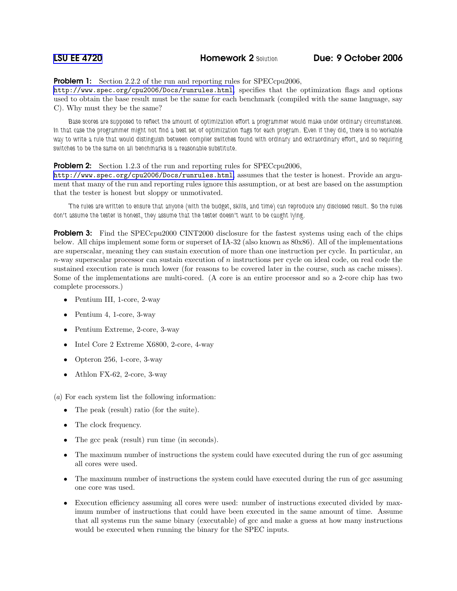**Problem 1:** Section 2.2.2 of the run and reporting rules for SPECcpu2006,

<http://www.spec.org/cpu2006/Docs/runrules.html>, specifies that the optimization flags and options used to obtain the base result must be the same for each benchmark (compiled with the same language, say C). Why must they be the same?

Base scores are supposed to reflect the amount of optimization effort a programmer would make under ordinary circumstances. In that case the programmer might not find a best set of optimization flags for each program. Even if they did, there is no workable way to write a rule that would distinguish between compiler switches found with ordinary and extraordinary effort, and so requiring switches to be the same on all benchmarks is a reasonable substitute.

## **Problem 2:** Section 1.2.3 of the run and reporting rules for SPECcpu2006,

<http://www.spec.org/cpu2006/Docs/runrules.html>, assumes that the tester is honest. Provide an argument that many of the run and reporting rules ignore this assumption, or at best are based on the assumption that the tester is honest but sloppy or unmotivated.

The rules are written to ensure that anyone (with the budget, skills, and time) can reproduce any disclosed result. So the rules don't assume the tester is honest, they assume that the tester doesn't want to be caught lying.

**Problem 3:** Find the SPECcpu2000 CINT2000 disclosure for the fastest systems using each of the chips below. All chips implement some form or superset of IA-32 (also known as 80x86). All of the implementations are superscalar, meaning they can sustain execution of more than one instruction per cycle. In particular, an  $n$ -way superscalar processor can sustain execution of n instructions per cycle on ideal code, on real code the sustained execution rate is much lower (for reasons to be covered later in the course, such as cache misses). Some of the implementations are multi-cored. (A core is an entire processor and so a 2-core chip has two complete processors.)

- Pentium III, 1-core, 2-way
- Pentium 4, 1-core, 3-way
- Pentium Extreme, 2-core, 3-way
- Intel Core 2 Extreme X6800, 2-core, 4-way
- Opteron 256, 1-core, 3-way
- Athlon FX-62, 2-core, 3-way

(a) For each system list the following information:

- The peak (result) ratio (for the suite).
- The clock frequency.
- The gcc peak (result) run time (in seconds).
- The maximum number of instructions the system could have executed during the run of gcc assuming all cores were used.
- The maximum number of instructions the system could have executed during the run of gcc assuming one core was used.
- Execution efficiency assuming all cores were used: number of instructions executed divided by maximum number of instructions that could have been executed in the same amount of time. Assume that all systems run the same binary (executable) of gcc and make a guess at how many instructions would be executed when running the binary for the SPEC inputs.